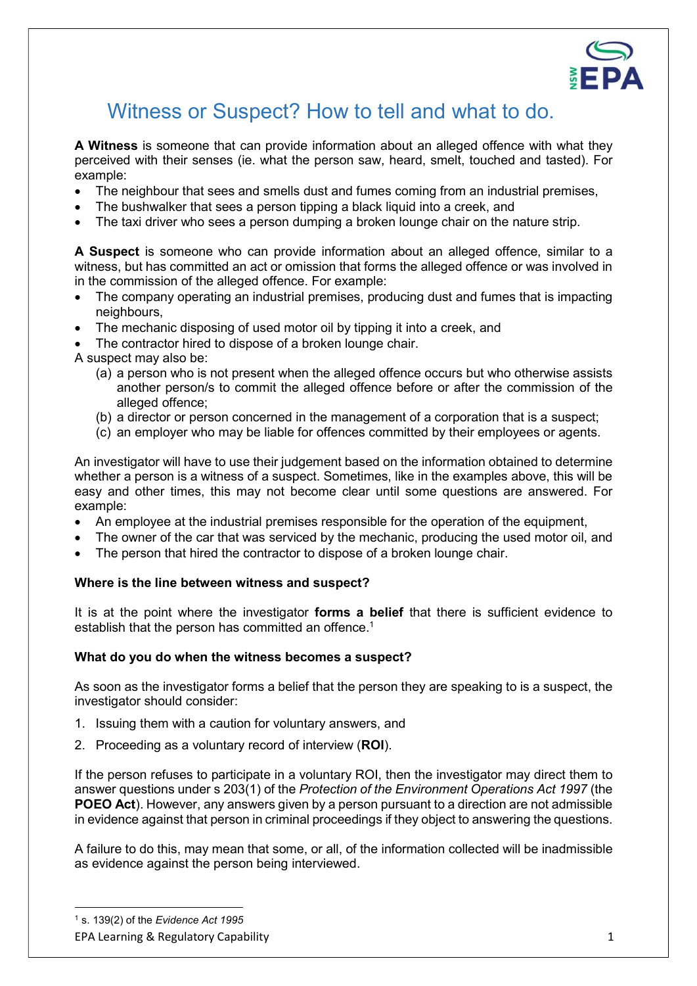

## Witness or Suspect? How to tell and what to do.

A Witness is someone that can provide information about an alleged offence with what they perceived with their senses (ie. what the person saw, heard, smelt, touched and tasted). For example:

- The neighbour that sees and smells dust and fumes coming from an industrial premises,
- The bushwalker that sees a person tipping a black liquid into a creek, and
- The taxi driver who sees a person dumping a broken lounge chair on the nature strip.

A Suspect is someone who can provide information about an alleged offence, similar to a witness, but has committed an act or omission that forms the alleged offence or was involved in in the commission of the alleged offence. For example:

- The company operating an industrial premises, producing dust and fumes that is impacting neighbours,
- The mechanic disposing of used motor oil by tipping it into a creek, and
- The contractor hired to dispose of a broken lounge chair.

A suspect may also be:

- (a) a person who is not present when the alleged offence occurs but who otherwise assists another person/s to commit the alleged offence before or after the commission of the alleged offence;
- (b) a director or person concerned in the management of a corporation that is a suspect;
- (c) an employer who may be liable for offences committed by their employees or agents.

An investigator will have to use their judgement based on the information obtained to determine whether a person is a witness of a suspect. Sometimes, like in the examples above, this will be easy and other times, this may not become clear until some questions are answered. For example:

- An employee at the industrial premises responsible for the operation of the equipment,
- The owner of the car that was serviced by the mechanic, producing the used motor oil, and
- The person that hired the contractor to dispose of a broken lounge chair.

## Where is the line between witness and suspect?

It is at the point where the investigator forms a belief that there is sufficient evidence to establish that the person has committed an offence.<sup>1</sup>

## What do you do when the witness becomes a suspect?

As soon as the investigator forms a belief that the person they are speaking to is a suspect, the investigator should consider:

- 1. Issuing them with a caution for voluntary answers, and
- 2. Proceeding as a voluntary record of interview (ROI).

If the person refuses to participate in a voluntary ROI, then the investigator may direct them to answer questions under s 203(1) of the Protection of the Environment Operations Act 1997 (the POEO Act). However, any answers given by a person pursuant to a direction are not admissible in evidence against that person in criminal proceedings if they object to answering the questions.

A failure to do this, may mean that some, or all, of the information collected will be inadmissible as evidence against the person being interviewed.

EPA Learning & Regulatory Capability 1